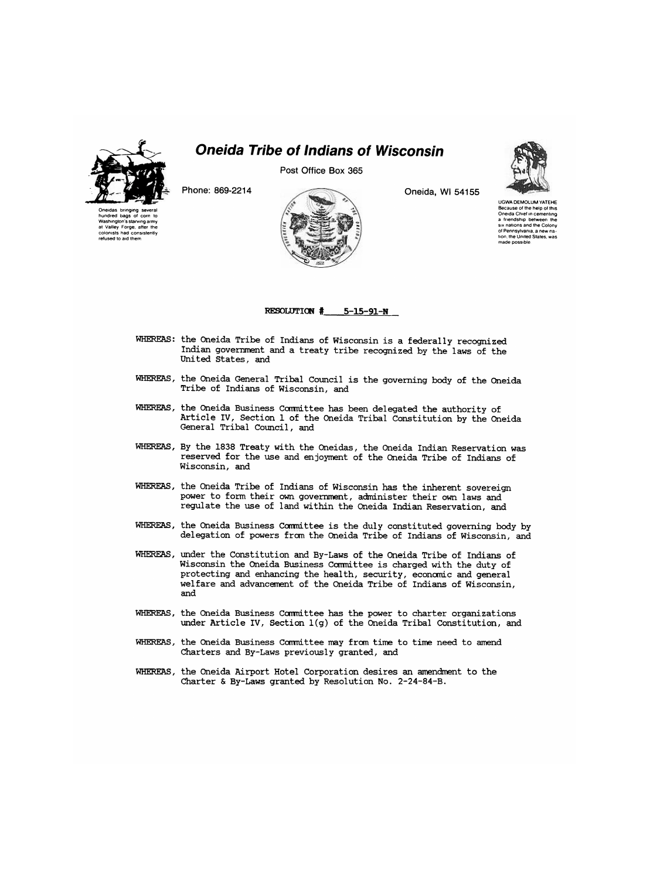

Oneidas bringing several hundred bags of corn to Washington's starving army at Valley Forge, after the colonists had consistently refused to aid them

## *Oneida Tribe of Indians of Wisconsin*

Post Office Box 365





UGWA DEMOLUM YATEHE Because of the help of this Oneida Chief in cementing a friendship between the six nations and the Colony of Pennsylvania, a new na-tion, the United States, was made possible



RESOLUTION  $#$  5-15-91-N

- WHEREAS: the Oneida Tribe of Indians of Wisconsin is a federally recognized Indian government and a treaty tribe recognized by the laws of the
- WHEREAS, the Oneida General Tribal Council is the governing body of the Oneida Tribe of Indians of Wisconsin, and
- WHEREAS, the Oneida Business Committee has been delegated the authority of Article IV, Section 1 of the Oneida Tribal Constitution by the Oneida
- WHEREAS, By the 1838 Treaty with the Oneidas, the Oneida Indian Reservation was reserved for the use and enjoyment of the Oneida Tribe of Indians of Wisconsin, and
- WHEREAS, the Oneida Tribe of Indians of Wisconsin has the inherent sovereign power to form their own government, administer their own laws and regulate the use of land within the Oneida Indian Reservation, and
- WHEREAS, the Oneida Business Committee is the duly constituted governing body by delegation of powers from the Oneida Tribe of Indians of Wisconsin, and
- WHEREAS, under the Constitution and By-Laws of the Oneida Tribe of Indians of Wisconsin the Oneida Business Committee is charged with the duty of protecting and enhancing the health, security, economic and general welfare and advancement of the Oneida Tribe of Indians of Wisconsin, and
- WHEREAS, the Oneida Business Committee has the power to charter organizations under Article IV, Section 1(g) of the Oneida Tribal Constitution, and
- WHEREAS, the Oneida Business Committee may from time to time need to amend Charters and By-Laws previously granted, and
- WHEREAS, the Oneida Airport Hotel Corporation desires an amendment to the Charter & By-Laws granted by Resolution No. 2-24-84-B.